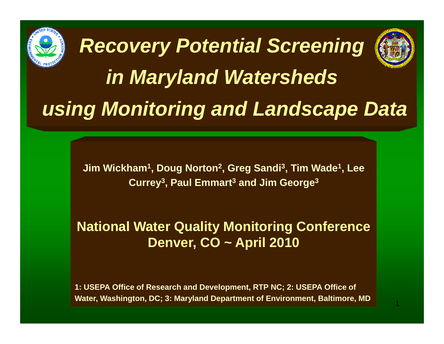

**Jim Wickham1, Doug Norton 2, Greg Sandi 3, Tim Wade1, Lee Currey 3, Paul Emmart 3 and Jim George 3**

**National Water Quality Monitoring Conference Denver, CO ~ April 2010**

**1: USEPA Office of Research and Development, RTP NC; 2: USEPA Office of Water, Washington, DC; 3: Maryland Department of Environment, Baltimore, MD**

1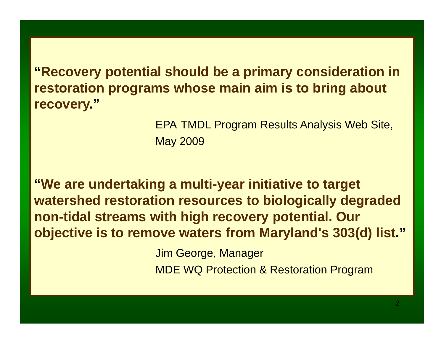**"Recovery potential should be a primary consideration in restoration programs whose main aim is to bring about recovery."**

> EPA TMDL Program Results Analysis Web Site, May 2009

**"We are undertaking a multi-year initiative to target watershed restoration resources to biologically degraded non-tidal streams with high recovery potential. Our objective is to remove waters from Maryland s' 303(d) list list."**

Jim George, Manager

MDE WQ Protection & Restoration Program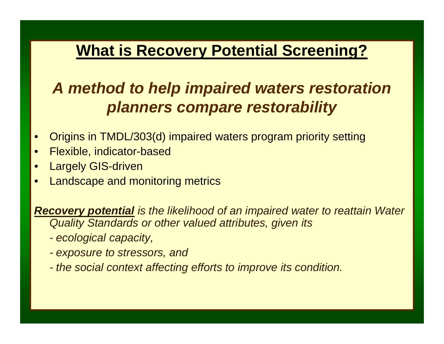### **What is Recovery Potential Screening?**

## *A method to help impaired waters restoration planners compare restorability compare*

- •Origins in TMDL/303(d) impaired waters program priority setting
- •● <del>Flexible, indicator-based</del>
- •Largely GIS-driven
- •Landscape and monitoring metrics

*Recovery potential is the likelihood of an impaired water to reattain Water Quality Standards or other valued attributes, given its* 

- *- ecological capacity capacity,*
- *- exposure to stressors, and*
- *the social context affecting efforts to improve its condition.*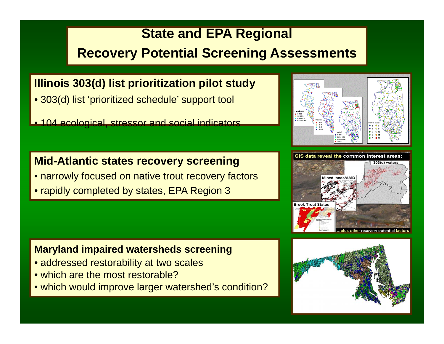#### **State and EPA Regional**

#### **Recovery Potential Screening Assessments**

#### **Illinois 303(d) list prioritization pilot study**

- 303(d) list 'prioritized schedule' support tool
- 104 ecological, stressor and social indicators

#### **Mid-Atlantic states recovery screening**

- narrowly focused on native trout recovery factors
- rapidly completed by states, EPA Region 3

#### **Maryland impaired watersheds screening**

- addressed restorability at two scales
- which are the most restorable?
- which would improve larger watershed's condition?





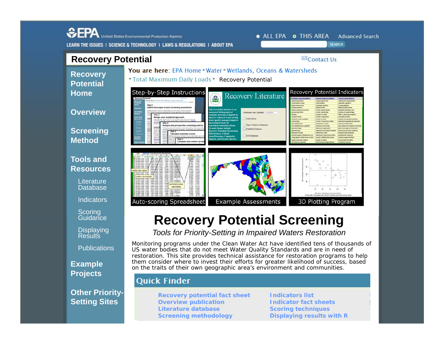

Monitoring programs under the Clean Water Act have identified tens of thousands of US water bodies that do not meet Water Quality Standards and are in need of restoration. This site provides technical assistance for restoration programs to help them consider where to invest their efforts for greater likelihood of success, based on the traits of their own geographic area's environment and communities.

#### **Quick Finder**

Publications

**Other Priority-**

**Example Projects**

**Setting Sites**<br> **Indicators list Setting Sites Indicator fact sheets Overview publication Literature databaseScreening methodology**

**Scoring techniques Displaying results with R**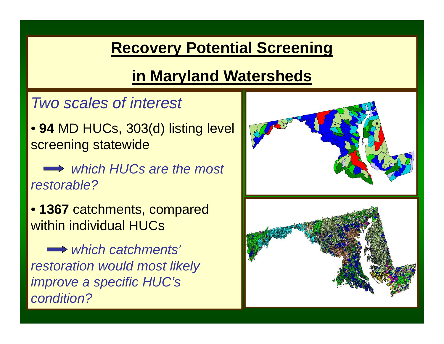## **Recovery Potential Screening**

# **in Maryland Watersheds**

## *Two scales of interest*

• **94** MD HUCs, 303(d) listing level screenin g statewide

*which HUCs are the most restorable?*

• **1367** catchments, compared within individual HUCs

*which catchments' restoration would most likely improve <sup>a</sup> specific HUC's condition?*

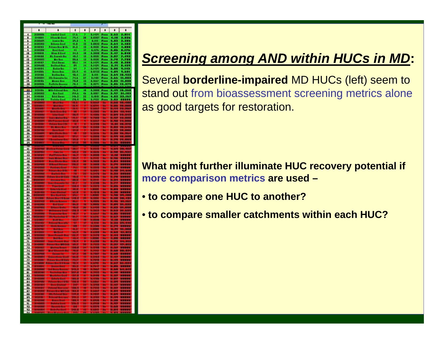|              | ٠                                     | ٠                                       | t                |        | ,                | ٠                          | ٠       | $\blacksquare$                                                                                |
|--------------|---------------------------------------|-----------------------------------------|------------------|--------|------------------|----------------------------|---------|-----------------------------------------------------------------------------------------------|
| i            | 12000                                 | <b>Janeiral Kassi</b>                   | Иd,              |        | <b>MARK</b>      | an.                        |         | $-0.001$                                                                                      |
|              | 3148811<br>2138689                    | <b>Hine Mr. Cool</b>                    | n.,              | n<br>٠ | 8.1919           | <b>Page</b>                | Ħ       | 1.938<br>1.338                                                                                |
| ì            | ,,,,,,,                               | <b>Jacques Res</b><br><b>Erlenn End</b> | <b>M.A.</b>      | o      | 1.1122           | <b>Fass</b><br><b>Rass</b> | 1.11    | 1,483                                                                                         |
| Ä            | 8111113                               | hilana Ban Mills                        | 31, 3            | o      | 8,1838           | <b>Faas</b>                | 6.83    | 1.888                                                                                         |
| 5<br>m       |                                       | , Boot Kool<br>River & Gool             | ň.               | o<br>u | 6.025<br>8.3888  | hui<br>Kun                 |         | e en                                                                                          |
| ш            |                                       | <u>Bis Consado Ros</u>                  | ú,               | a      | 1.1233<br>1.1233 | tuu                        | H       | <b>ALC</b>                                                                                    |
| IJ<br>IJ     |                                       | MacAna<br>Diad Anana<br>Andinai Ana     | <b>IA</b><br>щ   | в<br>и | 6,6439           | Pana<br><b>Base</b>        |         | <b>.</b>                                                                                      |
| Ħ            | 3148183<br>3138488                    |                                         |                  | и      |                  | m                          |         |                                                                                               |
| щ            | 2140184<br>2141833<br>2121188         | <b>Robin Ros.</b><br>Riston Ross.       | Ä                | J<br>û | 1991             | 500                        | 話題      | $\begin{array}{l} 0.301 \\ 0.421 \\ 0.101 \\ 0.301 \\ 0.301 \\ 0.301 \\ 0.301 \\ \end{array}$ |
| 8            |                                       | <b>Butten Box</b>                       | u,               |        |                  | <b>Faas</b>                |         |                                                                                               |
| щ            | ,,,,,,,                               | <u>Ma Capronina h</u>                   | M.<br>28.0       | ő      |                  | Fuas                       | - 11    |                                                                                               |
| ø<br>28      | <b><i><u>BERREA</u></i></b><br>,,,,,, | Ministra<br>Policiu Boom                | л.               | H      | <b>MAR</b>       | <b>Foan</b><br>Faas        | L.      | ш.<br>48<br>13.37                                                                             |
| H            | 3131183                               | .<br>Liberat k                          | в.               | ī      |                  | <b>STAR</b>                |         | T                                                                                             |
| R            | 2128282<br>21 cars a                  | <b>Reactives</b><br>Robel Russes        | ĥ.               | Ü,     | 1.3111<br>1.1112 | <b>Faas</b>                | O       | 38                                                                                            |
| m            | <u> 1121 111 1</u>                    | Tostalan Court                          | ш<br><b>PALL</b> | n<br>в | п<br>ورود<br>سند | <b>Page</b>                | Œ<br>سد | m<br>m<br>ستنت                                                                                |
| 28           |                                       | <b>CONTRACTOR</b>                       |                  |        |                  |                            |         |                                                                                               |
|              |                                       |                                         |                  |        |                  |                            |         |                                                                                               |
| Ã            |                                       |                                         |                  |        |                  |                            |         |                                                                                               |
| n            |                                       |                                         |                  |        |                  |                            |         |                                                                                               |
| 剘<br>33      |                                       |                                         |                  |        |                  |                            |         |                                                                                               |
| 23           |                                       |                                         |                  |        |                  |                            |         |                                                                                               |
|              |                                       |                                         |                  |        |                  |                            |         |                                                                                               |
| 쁣            |                                       |                                         |                  |        |                  |                            |         |                                                                                               |
|              |                                       |                                         |                  |        |                  |                            |         |                                                                                               |
| 끍            |                                       |                                         |                  |        |                  |                            |         |                                                                                               |
| a<br>11      |                                       |                                         |                  |        |                  |                            |         |                                                                                               |
| $\mathbf{a}$ |                                       |                                         |                  |        |                  |                            |         |                                                                                               |
| 21           |                                       |                                         |                  |        |                  |                            |         |                                                                                               |
| 11           |                                       |                                         |                  |        |                  |                            |         |                                                                                               |
| ü<br>Q       |                                       |                                         |                  |        |                  |                            |         |                                                                                               |
| 38           |                                       |                                         |                  |        |                  |                            |         |                                                                                               |
| ä<br>u       |                                       |                                         |                  |        |                  |                            |         |                                                                                               |
| ш            |                                       |                                         |                  |        |                  |                            |         |                                                                                               |
| n            |                                       |                                         |                  |        |                  |                            |         |                                                                                               |
| R            |                                       |                                         |                  |        |                  |                            |         |                                                                                               |
| R            |                                       |                                         |                  |        |                  | œ                          |         |                                                                                               |
| R            |                                       |                                         |                  |        |                  |                            |         |                                                                                               |
| B            |                                       |                                         |                  |        |                  |                            |         |                                                                                               |
|              |                                       |                                         |                  |        |                  |                            |         |                                                                                               |
|              |                                       |                                         |                  |        |                  |                            |         |                                                                                               |
|              |                                       |                                         |                  |        |                  |                            |         |                                                                                               |
|              |                                       |                                         |                  |        |                  |                            |         |                                                                                               |
|              |                                       |                                         |                  |        |                  |                            |         |                                                                                               |
|              |                                       |                                         |                  |        |                  |                            |         |                                                                                               |
| 计数据数据数据数据数据  |                                       |                                         |                  |        |                  |                            |         |                                                                                               |
| 21           |                                       |                                         |                  |        |                  |                            |         |                                                                                               |
| 23           |                                       |                                         |                  |        |                  |                            |         |                                                                                               |
|              |                                       |                                         |                  |        |                  |                            |         |                                                                                               |
| 題            |                                       |                                         |                  |        |                  |                            |         |                                                                                               |
| 23           |                                       |                                         |                  |        |                  |                            |         |                                                                                               |
| 28           |                                       |                                         |                  |        |                  |                            |         |                                                                                               |
| ä            |                                       |                                         |                  |        |                  |                            |         |                                                                                               |
| ш            |                                       |                                         |                  |        |                  |                            |         |                                                                                               |
| IJ           |                                       |                                         |                  |        |                  |                            |         |                                                                                               |
| n            |                                       |                                         |                  |        |                  |                            |         |                                                                                               |
| H            |                                       |                                         |                  |        |                  |                            |         |                                                                                               |
| u<br>D       |                                       |                                         |                  |        |                  |                            |         |                                                                                               |
| ш            |                                       |                                         |                  |        |                  |                            |         |                                                                                               |
| ű            |                                       |                                         |                  |        |                  |                            |         |                                                                                               |
| SI.          |                                       |                                         |                  |        |                  |                            |         |                                                                                               |
| 11           |                                       |                                         |                  |        |                  |                            |         |                                                                                               |
| 11           |                                       |                                         |                  |        |                  |                            |         |                                                                                               |

## **Screening among AND within HUCs in MD:**

Several **borderline-impaired** MD HUCs (left) seem to stand out from bioassessment screening metrics alone as good targets for restoration.

**What might further illuminate HUC recovery potential if more comparison metrics are used –**

- **t HUC t th ? to compare one to another?**
- **to compare smaller catchments within each HUC?**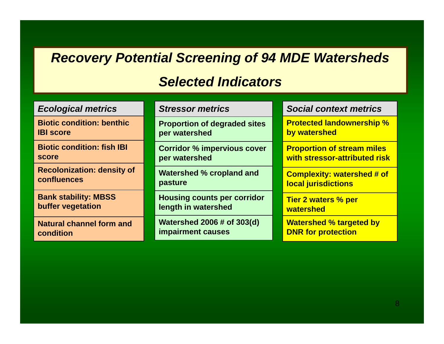#### **Recovery Potential Screening of 94 MDE Watersheds**

#### *Selected Indicators*

| <b>Ecological metrics</b>         | <b>Stressor metrics</b>             | <b>Social context metrics</b>     |  |  |
|-----------------------------------|-------------------------------------|-----------------------------------|--|--|
| <b>Biotic condition: benthic</b>  | <b>Proportion of degraded sites</b> | <b>Protected landownership %</b>  |  |  |
| <b>IBI score</b>                  | per watershed                       | by watershed                      |  |  |
| <b>Biotic condition: fish IBI</b> | <b>Corridor % impervious cover</b>  | <b>Proportion of stream miles</b> |  |  |
| score                             | per watershed                       | with stressor-attributed risk     |  |  |
| <b>Recolonization: density of</b> | <b>Watershed % cropland and</b>     | <b>Complexity: watershed # of</b> |  |  |
| confluences                       | pasture                             | <b>local jurisdictions</b>        |  |  |
| <b>Bank stability: MBSS</b>       | <b>Housing counts per corridor</b>  | <b>Tier 2 waters % per</b>        |  |  |
| buffer vegetation                 | length in watershed                 | watershed                         |  |  |
| <b>Natural channel form and</b>   | <b>Watershed 2006 # of 303(d)</b>   | <b>Watershed % targeted by</b>    |  |  |
| condition                         | <b>impairment causes</b>            | <b>DNR for protection</b>         |  |  |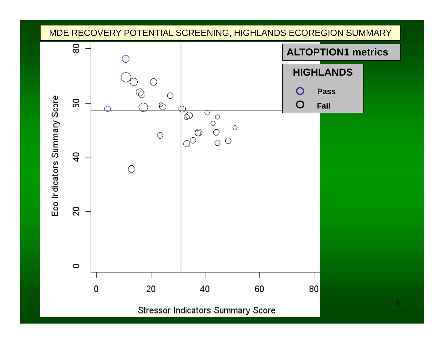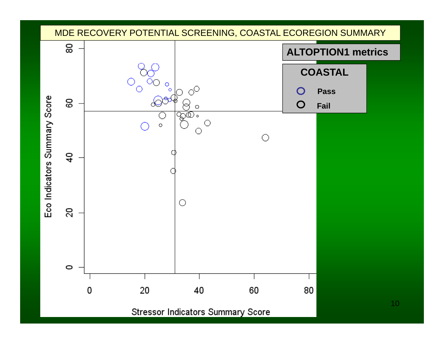![](_page_9_Figure_0.jpeg)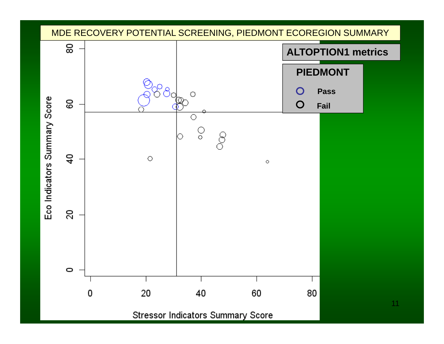![](_page_10_Figure_0.jpeg)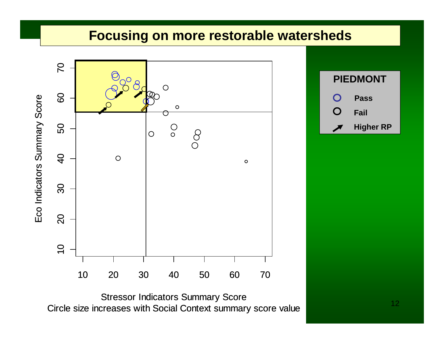![](_page_11_Figure_0.jpeg)

Stressor Indicators Summary Score<br>Circle size increases with Social Context summary score value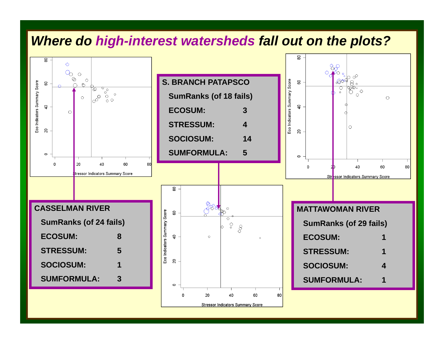#### *Where do high-interest watersheds fall out on the plots?*

![](_page_12_Figure_1.jpeg)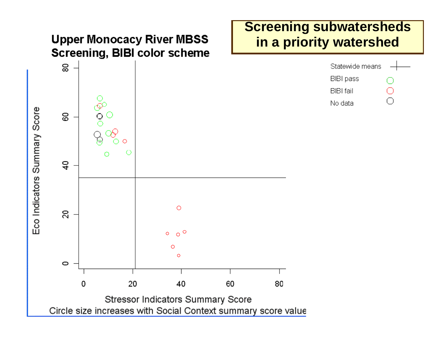![](_page_13_Figure_0.jpeg)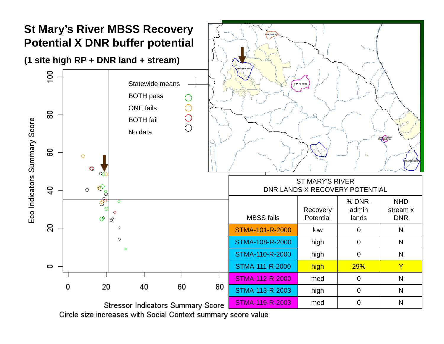![](_page_14_Figure_0.jpeg)

Circle size increases with Social Context summary score value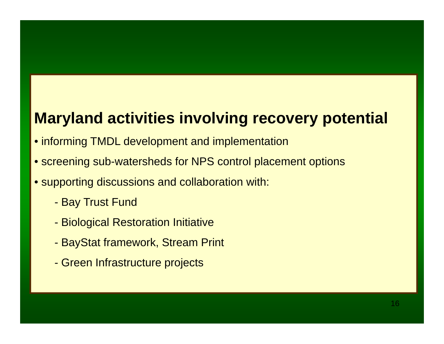## **Maryland activities involving recovery potential**

- informing TMDL development and implementation
- screening sub-watersheds for NPS control placement options
- supporting discussions and collaboration with:
	- Bay Trust Fund
	- Biological Restoration Initiative
	- -BayStat framework, Stream Print
	- -Green Infrastructure projects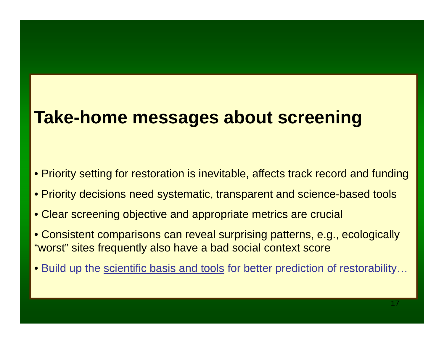# **Take-home messages about screening**

- Priority setting for restoration is inevitable, affects track record and funding
- $\bullet$  Priority decisions need systematic, transparent and science-based tools
- Clear screening objective and appropriate metrics are crucial
- $\bullet$  Consistent comparisons can reveal surprising patterns, e.g., ecologically "worst" sites frequently also have a bad social context score
- Build up the scientific basis and tools for better prediction of restorability...